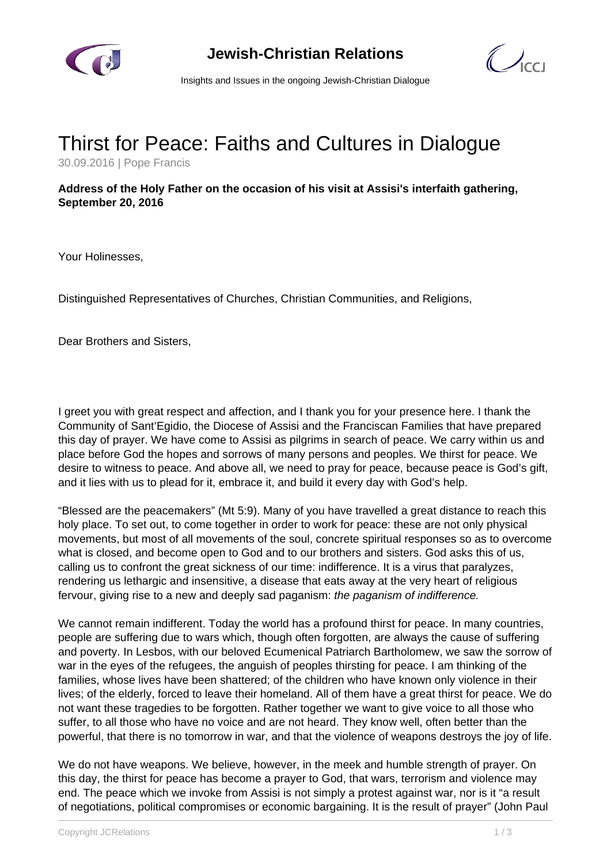



Insights and Issues in the ongoing Jewish-Christian Dialogue

## Thirst for Peace: Faiths and Cultures in Dialogue

30.09.2016 | Pope Francis

## **Address of the Holy Father on the occasion of his visit at Assisi's interfaith gathering, September 20, 2016**

Your Holinesses,

Distinguished Representatives of Churches, Christian Communities, and Religions,

Dear Brothers and Sisters,

I greet you with great respect and affection, and I thank you for your presence here. I thank the Community of Sant'Egidio, the Diocese of Assisi and the Franciscan Families that have prepared this day of prayer. We have come to Assisi as pilgrims in search of peace. We carry within us and place before God the hopes and sorrows of many persons and peoples. We thirst for peace. We desire to witness to peace. And above all, we need to pray for peace, because peace is God's gift, and it lies with us to plead for it, embrace it, and build it every day with God's help.

"Blessed are the peacemakers" (Mt 5:9). Many of you have travelled a great distance to reach this holy place. To set out, to come together in order to work for peace: these are not only physical movements, but most of all movements of the soul, concrete spiritual responses so as to overcome what is closed, and become open to God and to our brothers and sisters. God asks this of us, calling us to confront the great sickness of our time: indifference. It is a virus that paralyzes, rendering us lethargic and insensitive, a disease that eats away at the very heart of religious fervour, giving rise to a new and deeply sad paganism: the paganism of indifference.

We cannot remain indifferent. Today the world has a profound thirst for peace. In many countries, people are suffering due to wars which, though often forgotten, are always the cause of suffering and poverty. In Lesbos, with our beloved Ecumenical Patriarch Bartholomew, we saw the sorrow of war in the eyes of the refugees, the anguish of peoples thirsting for peace. I am thinking of the families, whose lives have been shattered; of the children who have known only violence in their lives; of the elderly, forced to leave their homeland. All of them have a great thirst for peace. We do not want these tragedies to be forgotten. Rather together we want to give voice to all those who suffer, to all those who have no voice and are not heard. They know well, often better than the powerful, that there is no tomorrow in war, and that the violence of weapons destroys the joy of life.

We do not have weapons. We believe, however, in the meek and humble strength of prayer. On this day, the thirst for peace has become a prayer to God, that wars, terrorism and violence may end. The peace which we invoke from Assisi is not simply a protest against war, nor is it "a result of negotiations, political compromises or economic bargaining. It is the result of prayer" (John Paul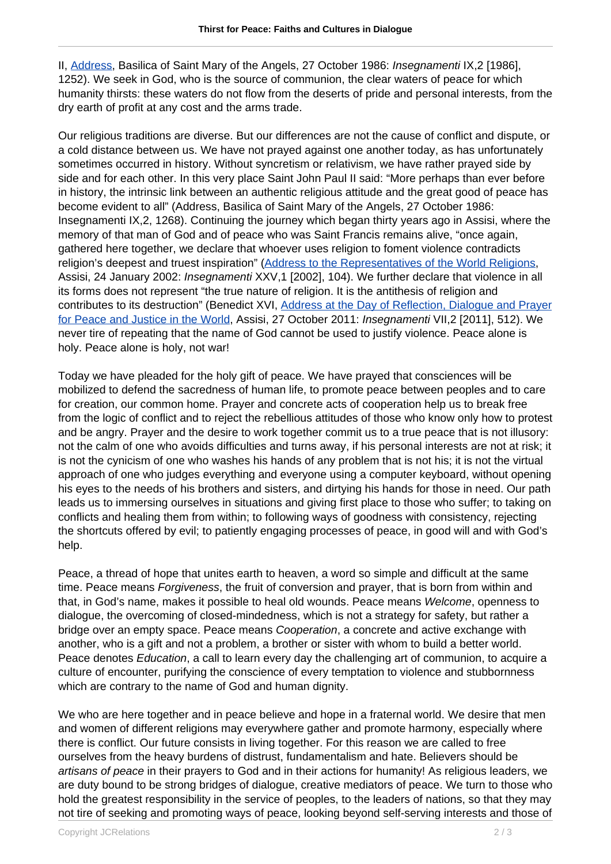II, [Address](http://w2.vatican.va/content/john-paul-ii/en/speeches/1986/october/documents/hf_jp-ii_spe_19861027_prayer-peace-assisi.html), Basilica of Saint Mary of the Angels, 27 October 1986: Insegnamenti IX,2 [1986], 1252). We seek in God, who is the source of communion, the clear waters of peace for which humanity thirsts: these waters do not flow from the deserts of pride and personal interests, from the dry earth of profit at any cost and the arms trade.

Our religious traditions are diverse. But our differences are not the cause of conflict and dispute, or a cold distance between us. We have not prayed against one another today, as has unfortunately sometimes occurred in history. Without syncretism or relativism, we have rather prayed side by side and for each other. In this very place Saint John Paul II said: "More perhaps than ever before in history, the intrinsic link between an authentic religious attitude and the great good of peace has become evident to all" (Address, Basilica of Saint Mary of the Angels, 27 October 1986: Insegnamenti IX,2, 1268). Continuing the journey which began thirty years ago in Assisi, where the memory of that man of God and of peace who was Saint Francis remains alive, "once again, gathered here together, we declare that whoever uses religion to foment violence contradicts religion's deepest and truest inspiration" ([Address to the Representatives of the World Religions,](http://w2.vatican.va/content/john-paul-ii/en/speeches/2002/january/documents/hf_jp-ii_spe_20020124_discorso-assisi.html) Assisi, 24 January 2002: Insegnamenti XXV,1 [2002], 104). We further declare that violence in all its forms does not represent "the true nature of religion. It is the antithesis of religion and contributes to its destruction" (Benedict XVI, [Address at the Day of Reflection, Dialogue and Prayer](http://w2.vatican.va/content/benedict-xvi/en/speeches/2011/october/documents/hf_ben-xvi_spe_20111027_assisi.html) [for Peace and Justice in the World](http://w2.vatican.va/content/benedict-xvi/en/speeches/2011/october/documents/hf_ben-xvi_spe_20111027_assisi.html), Assisi, 27 October 2011: Insegnamenti VII,2 [2011], 512). We never tire of repeating that the name of God cannot be used to justify violence. Peace alone is holy. Peace alone is holy, not war!

Today we have pleaded for the holy gift of peace. We have prayed that consciences will be mobilized to defend the sacredness of human life, to promote peace between peoples and to care for creation, our common home. Prayer and concrete acts of cooperation help us to break free from the logic of conflict and to reject the rebellious attitudes of those who know only how to protest and be angry. Prayer and the desire to work together commit us to a true peace that is not illusory: not the calm of one who avoids difficulties and turns away, if his personal interests are not at risk; it is not the cynicism of one who washes his hands of any problem that is not his; it is not the virtual approach of one who judges everything and everyone using a computer keyboard, without opening his eyes to the needs of his brothers and sisters, and dirtying his hands for those in need. Our path leads us to immersing ourselves in situations and giving first place to those who suffer; to taking on conflicts and healing them from within; to following ways of goodness with consistency, rejecting the shortcuts offered by evil; to patiently engaging processes of peace, in good will and with God's help.

Peace, a thread of hope that unites earth to heaven, a word so simple and difficult at the same time. Peace means *Forgiveness*, the fruit of conversion and prayer, that is born from within and that, in God's name, makes it possible to heal old wounds. Peace means Welcome, openness to dialogue, the overcoming of closed-mindedness, which is not a strategy for safety, but rather a bridge over an empty space. Peace means Cooperation, a concrete and active exchange with another, who is a gift and not a problem, a brother or sister with whom to build a better world. Peace denotes Education, a call to learn every day the challenging art of communion, to acquire a culture of encounter, purifying the conscience of every temptation to violence and stubbornness which are contrary to the name of God and human dignity.

We who are here together and in peace believe and hope in a fraternal world. We desire that men and women of different religions may everywhere gather and promote harmony, especially where there is conflict. Our future consists in living together. For this reason we are called to free ourselves from the heavy burdens of distrust, fundamentalism and hate. Believers should be artisans of peace in their prayers to God and in their actions for humanity! As religious leaders, we are duty bound to be strong bridges of dialogue, creative mediators of peace. We turn to those who hold the greatest responsibility in the service of peoples, to the leaders of nations, so that they may not tire of seeking and promoting ways of peace, looking beyond self-serving interests and those of